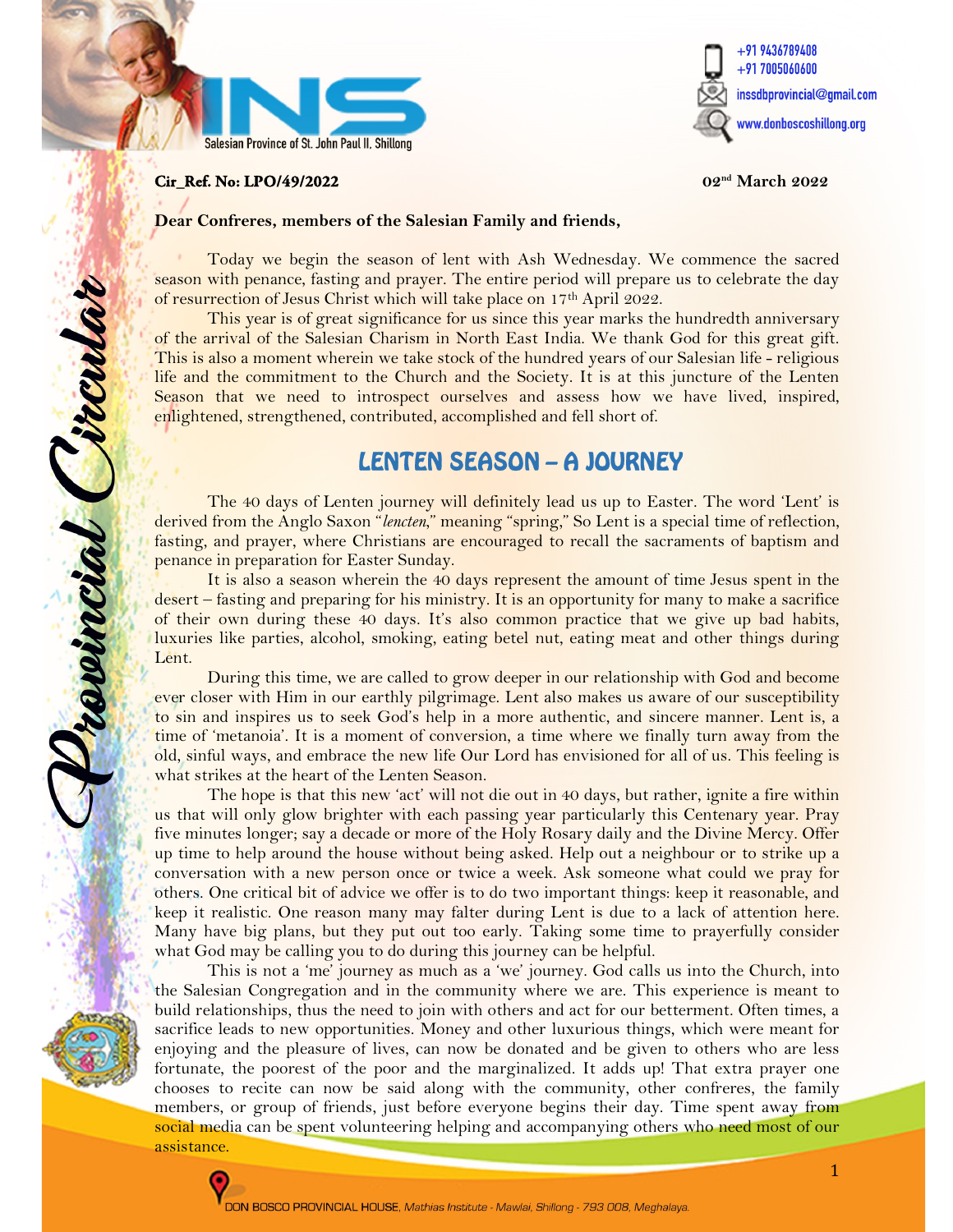



#### **Cir\_Ref. No: LPO/49/2022** 02nd March 2022

j

reseincial Circula

#### Dear Confreres, members of the Salesian Family and friends,

Today we begin the season of lent with Ash Wednesday. We commence the sacred season with penance, fasting and prayer. The entire period will prepare us to celebrate the day of resurrection of Jesus Christ which will take place on 17<sup>th</sup> April 2022.

This year is of great significance for us since this year marks the hundredth anniversary of the arrival of the Salesian Charism in North East India. We thank God for this great gift. This is also a moment wherein we take stock of the hundred years of our Salesian life - religious life and the commitment to the Church and the Society. It is at this juncture of the Lenten Season that we need to introspect ourselves and assess how we have lived, inspired, enlightened, strengthened, contributed, accomplished and fell short of.

# LENTEN SEASON – A JOURNEY

The 40 days of Lenten journey will definitely lead us up to Easter. The word 'Lent' is derived from the Anglo Saxon "lencten," meaning "spring," So Lent is a special time of reflection, fasting, and prayer, where Christians are encouraged to recall the sacraments of baptism and penance in preparation for Easter Sunday.

It is also a season wherein the 40 days represent the amount of time Jesus spent in the desert – fasting and preparing for his ministry. It is an opportunity for many to make a sacrifice of their own during these 40 days. It's also common practice that we give up bad habits, luxuries like parties, alcohol, smoking, eating betel nut, eating meat and other things during Lent.

During this time, we are called to grow deeper in our relationship with God and become ever closer with Him in our earthly pilgrimage. Lent also makes us aware of our susceptibility to sin and inspires us to seek God's help in a more authentic, and sincere manner. Lent is, a time of 'metanoia'. It is a moment of conversion, a time where we finally turn away from the old, sinful ways, and embrace the new life Our Lord has envisioned for all of us. This feeling is what strikes at the heart of the Lenten Season.

The hope is that this new 'act' will not die out in 40 days, but rather, ignite a fire within us that will only glow brighter with each passing year particularly this Centenary year. Pray five minutes longer; say a decade or more of the Holy Rosary daily and the Divine Mercy. Offer up time to help around the house without being asked. Help out a neighbour or to strike up a conversation with a new person once or twice a week. Ask someone what could we pray for others. One critical bit of advice we offer is to do two important things: keep it reasonable, and keep it realistic. One reason many may falter during Lent is due to a lack of attention here. Many have big plans, but they put out too early. Taking some time to prayerfully consider what God may be calling you to do during this journey can be helpful.

This is not a 'me' journey as much as a 'we' journey. God calls us into the Church, into the Salesian Congregation and in the community where we are. This experience is meant to build relationships, thus the need to join with others and act for our betterment. Often times, a sacrifice leads to new opportunities. Money and other luxurious things, which were meant for enjoying and the pleasure of lives, can now be donated and be given to others who are less fortunate, the poorest of the poor and the marginalized. It adds up! That extra prayer one chooses to recite can now be said along with the community, other confreres, the family members, or group of friends, just before everyone begins their day. Time spent away from social media can be spent volunteering helping and accompanying others who need most of our assistance.

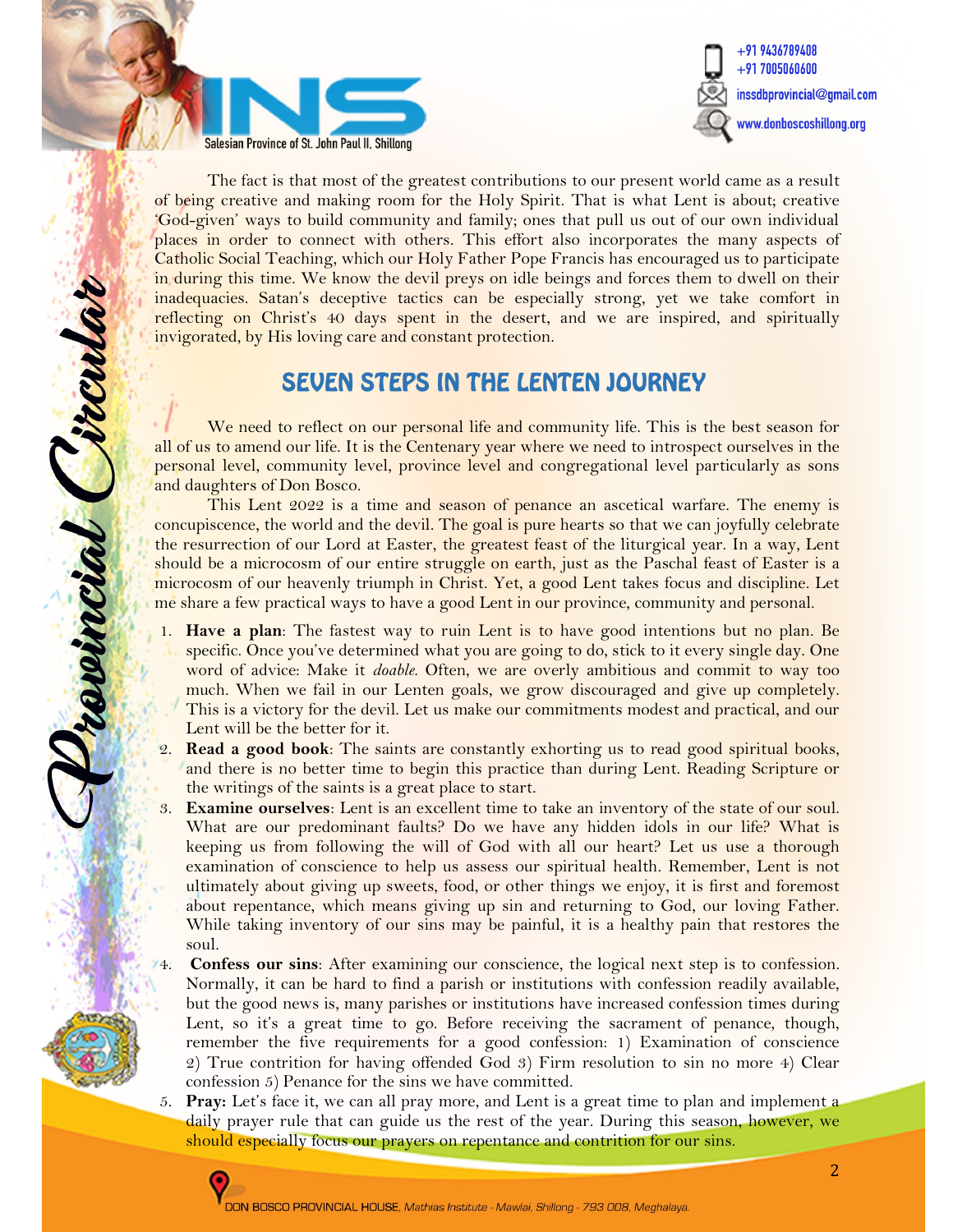



The fact is that most of the greatest contributions to our present world came as a result of being creative and making room for the Holy Spirit. That is what Lent is about; creative 'God-given' ways to build community and family; ones that pull us out of our own individual places in order to connect with others. This effort also incorporates the many aspects of Catholic Social Teaching, which our Holy Father Pope Francis has encouraged us to participate in during this time. We know the devil preys on idle beings and forces them to dwell on their inadequacies. Satan's deceptive tactics can be especially strong, yet we take comfort in reflecting on Christ's 40 days spent in the desert, and we are inspired, and spiritually invigorated, by His loving care and constant protection.

# SEVEN STEPS IN THE LENTEN JOURNEY

We need to reflect on our personal life and community life. This is the best season for all of us to amend our life. It is the Centenary year where we need to introspect ourselves in the personal level, community level, province level and congregational level particularly as sons and daughters of Don Bosco.

This Lent 2022 is a time and season of penance an ascetical warfare. The enemy is concupiscence, the world and the devil. The goal is pure hearts so that we can joyfully celebrate the resurrection of our Lord at Easter, the greatest feast of the liturgical year. In a way, Lent should be a microcosm of our entire struggle on earth, just as the Paschal feast of Easter is a microcosm of our heavenly triumph in Christ. Yet, a good Lent takes focus and discipline. Let me share a few practical ways to have a good Lent in our province, community and personal.

- 1. Have a plan: The fastest way to ruin Lent is to have good intentions but no plan. Be specific. Once you've determined what you are going to do, stick to it every single day. One word of advice: Make it *doable*. Often, we are overly ambitious and commit to way too much. When we fail in our Lenten goals, we grow discouraged and give up completely. This is a victory for the devil. Let us make our commitments modest and practical, and our Lent will be the better for it.
- 2. Read a good book: The saints are constantly exhorting us to read good spiritual books, and there is no better time to begin this practice than during Lent. Reading Scripture or the writings of the saints is a great place to start.
- 3. Examine ourselves: Lent is an excellent time to take an inventory of the state of our soul. What are our predominant faults? Do we have any hidden idols in our life? What is keeping us from following the will of God with all our heart? Let us use a thorough examination of conscience to help us assess our spiritual health. Remember, Lent is not ultimately about giving up sweets, food, or other things we enjoy, it is first and foremost about repentance, which means giving up sin and returning to God, our loving Father. While taking inventory of our sins may be painful, it is a healthy pain that restores the soul.
- Confess our sins: After examining our conscience, the logical next step is to confession. Normally, it can be hard to find a parish or institutions with confession readily available, but the good news is, many parishes or institutions have increased confession times during Lent, so it's a great time to go. Before receiving the sacrament of penance, though, remember the five requirements for a good confession: 1) Examination of conscience 2) True contrition for having offended God 3) Firm resolution to sin no more 4) Clear confession 5) Penance for the sins we have committed.
- 5. Pray: Let's face it, we can all pray more, and Lent is a great time to plan and implement a daily prayer rule that can guide us the rest of the year. During this season, however, we should especially focus our prayers on repentance and contrition for our sins.



revincial Proula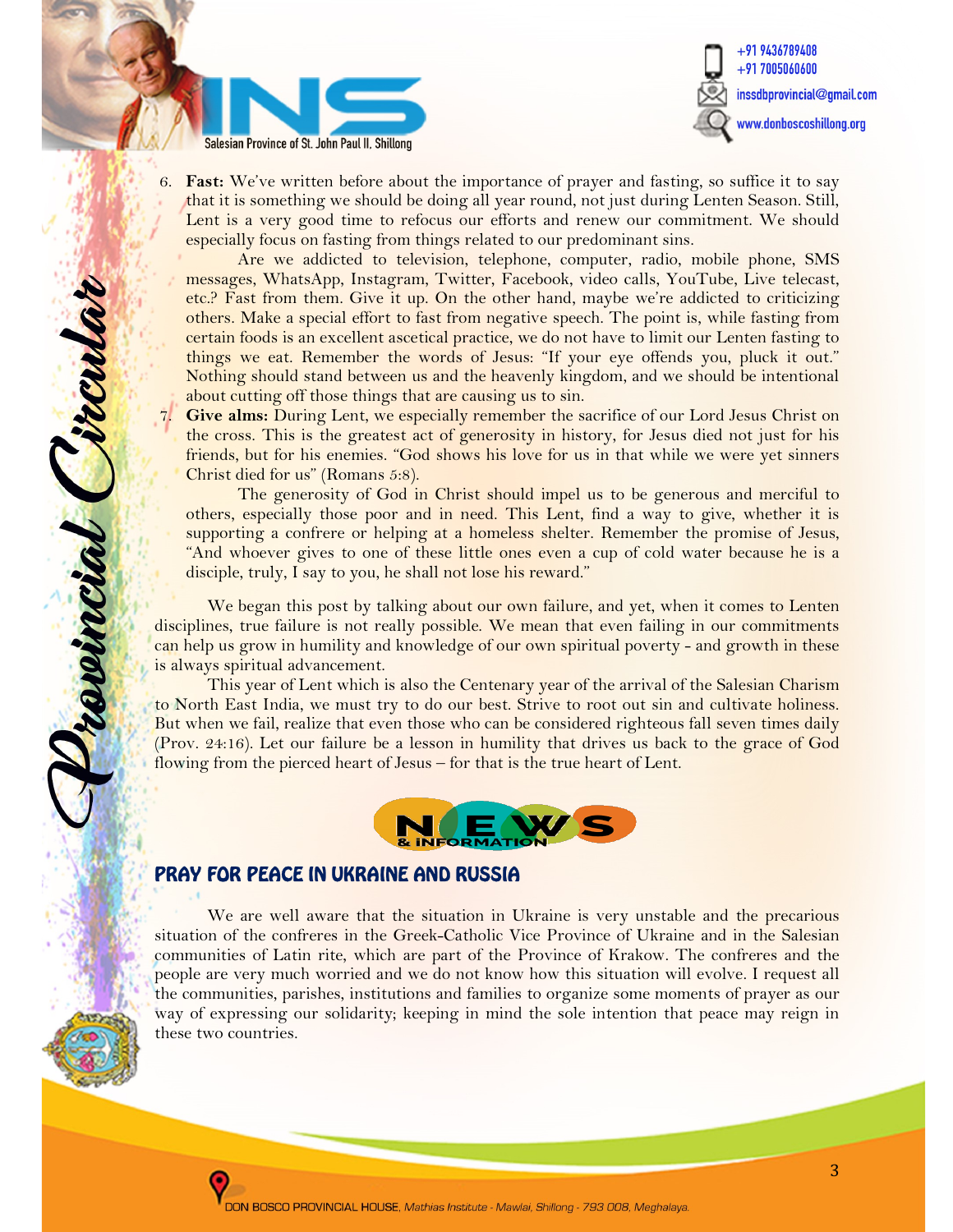

Provincial Circula



6. Fast: We've written before about the importance of prayer and fasting, so suffice it to say that it is something we should be doing all year round, not just during Lenten Season. Still, Lent is a very good time to refocus our efforts and renew our commitment. We should especially focus on fasting from things related to our predominant sins.

Are we addicted to television, telephone, computer, radio, mobile phone, SMS messages, WhatsApp, Instagram, Twitter, Facebook, video calls, YouTube, Live telecast, etc.? Fast from them. Give it up. On the other hand, maybe we're addicted to criticizing others. Make a special effort to fast from negative speech. The point is, while fasting from certain foods is an excellent ascetical practice, we do not have to limit our Lenten fasting to things we eat. Remember the words of Jesus: "If your eye offends you, pluck it out." Nothing should stand between us and the heavenly kingdom, and we should be intentional about cutting off those things that are causing us to sin.

Give alms: During Lent, we especially remember the sacrifice of our Lord Jesus Christ on the cross. This is the greatest act of generosity in history, for Jesus died not just for his friends, but for his enemies. "God shows his love for us in that while we were yet sinners Christ died for us" (Romans 5:8).

The generosity of God in Christ should impel us to be generous and merciful to others, especially those poor and in need. This Lent, find a way to give, whether it is supporting a confrere or helping at a homeless shelter. Remember the promise of Jesus, "And whoever gives to one of these little ones even a cup of cold water because he is a disciple, truly, I say to you, he shall not lose his reward."

We began this post by talking about our own failure, and yet, when it comes to Lenten disciplines, true failure is not really possible. We mean that even failing in our commitments can help us grow in humility and knowledge of our own spiritual poverty - and growth in these is always spiritual advancement.

This year of Lent which is also the Centenary year of the arrival of the Salesian Charism to North East India, we must try to do our best. Strive to root out sin and cultivate holiness. But when we fail, realize that even those who can be considered righteous fall seven times daily (Prov. 24:16). Let our failure be a lesson in humility that drives us back to the grace of God flowing from the pierced heart of Jesus – for that is the true heart of Lent.



## PRAY FOR PEACE IN UKRAINE AND RUSSIA

We are well aware that the situation in Ukraine is very unstable and the precarious situation of the confreres in the Greek-Catholic Vice Province of Ukraine and in the Salesian communities of Latin rite, which are part of the Province of Krakow. The confreres and the people are very much worried and we do not know how this situation will evolve. I request all the communities, parishes, institutions and families to organize some moments of prayer as our way of expressing our solidarity; keeping in mind the sole intention that peace may reign in these two countries.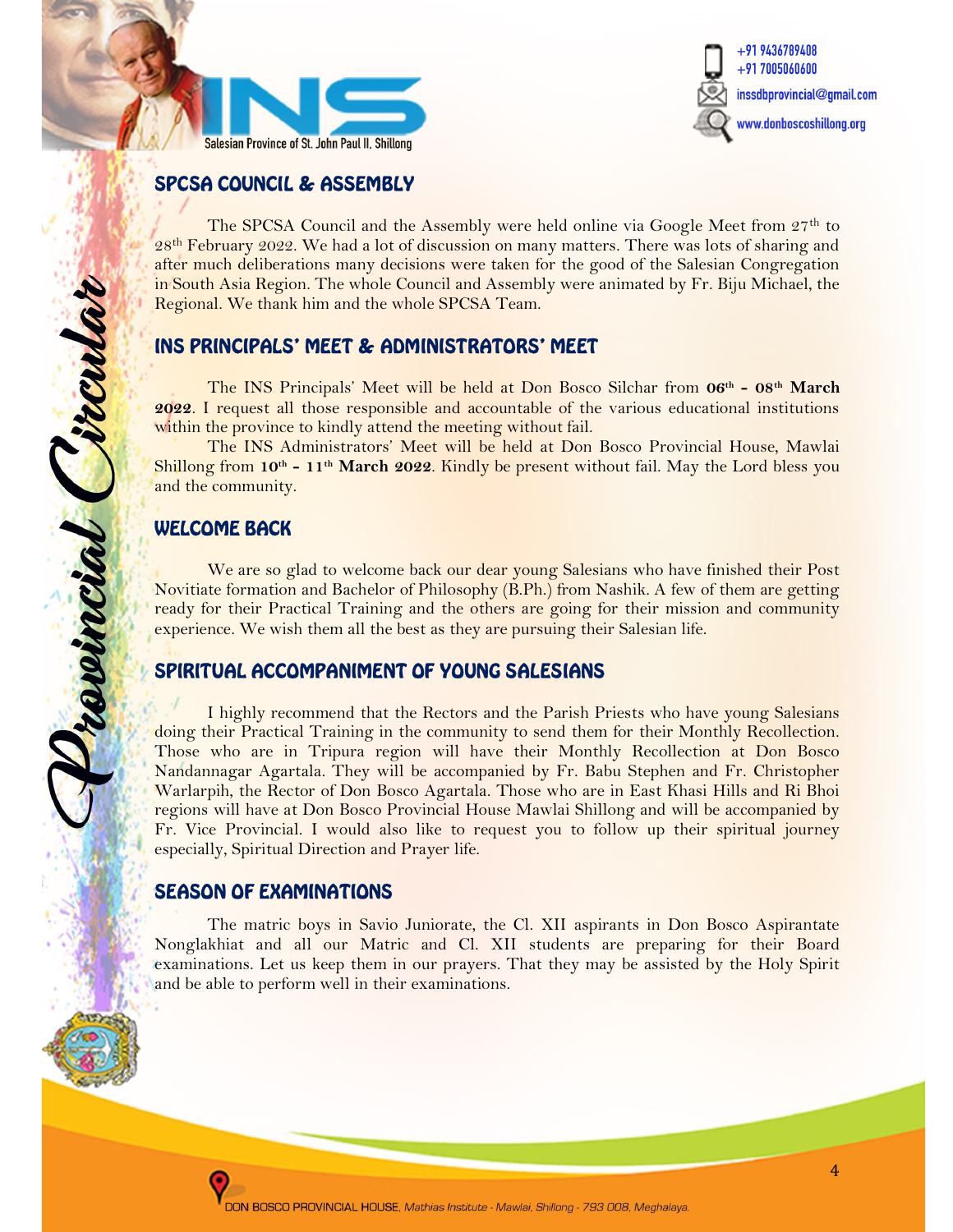



#### SPCSA COUNCIL & ASSEMBLY

The SPCSA Council and the Assembly were held online via Google Meet from 27<sup>th</sup> to 28<sup>th</sup> February 2022. We had a lot of discussion on many matters. There was lots of sharing and after much deliberations many decisions were taken for the good of the Salesian Congregation in South Asia Region. The whole Council and Assembly were animated by Fr. Biju Michael, the Regional. We thank him and the whole SPCSA Team.

#### INS PRINCIPALS' MEET & ADMINISTRATORS' MEET

The INS Principals' Meet will be held at Don Bosco Silchar from 06th - 08th March 2022. I request all those responsible and accountable of the various educational institutions within the province to kindly attend the meeting without fail.

The INS Administrators' Meet will be held at Don Bosco Provincial House, Mawlai Shillong from  $10^{th}$  -  $11^{th}$  March 2022. Kindly be present without fail. May the Lord bless you and the community.

## WELCOME BACK

í

Drawincial Circula

We are so glad to welcome back our dear young Salesians who have finished their Post Novitiate formation and Bachelor of Philosophy (B.Ph.) from Nashik. A few of them are getting ready for their Practical Training and the others are going for their mission and community experience. We wish them all the best as they are pursuing their Salesian life.

## SPIRITUAL ACCOMPANIMENT OF YOUNG SALESIANS

I highly recommend that the Rectors and the Parish Priests who have young Salesians doing their Practical Training in the community to send them for their Monthly Recollection. Those who are in Tripura region will have their Monthly Recollection at Don Bosco Nandannagar Agartala. They will be accompanied by Fr. Babu Stephen and Fr. Christopher Warlarpih, the Rector of Don Bosco Agartala. Those who are in East Khasi Hills and Ri Bhoi regions will have at Don Bosco Provincial House Mawlai Shillong and will be accompanied by Fr. Vice Provincial. I would also like to request you to follow up their spiritual journey especially, Spiritual Direction and Prayer life.

#### SEASON OF EXAMINATIONS

The matric boys in Savio Juniorate, the Cl. XII aspirants in Don Bosco Aspirantate Nonglakhiat and all our Matric and Cl. XII students are preparing for their Board examinations. Let us keep them in our prayers. That they may be assisted by the Holy Spirit and be able to perform well in their examinations.

ì.

L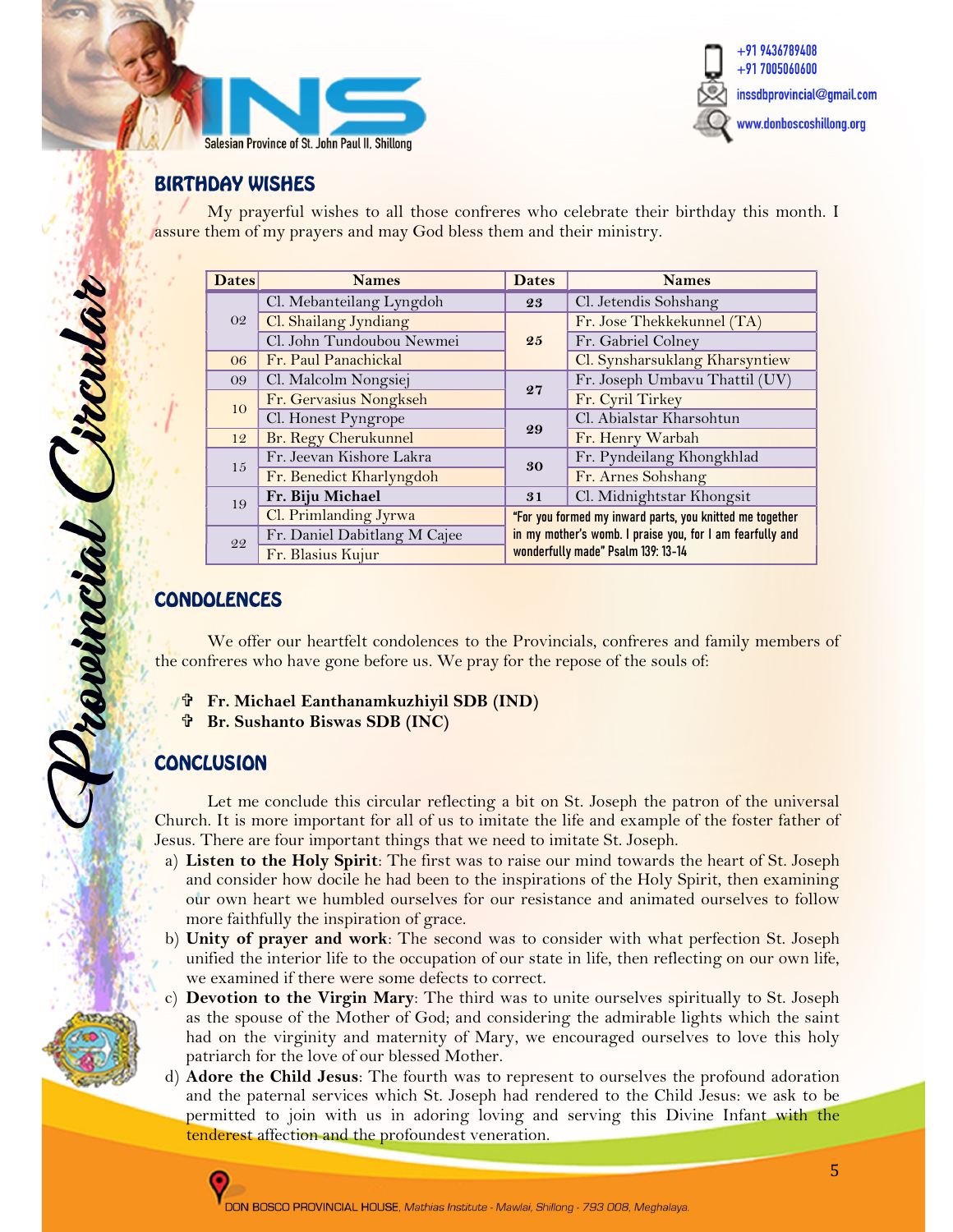



#### BIRTHDAY WISHES

 My prayerful wishes to all those confreres who celebrate their birthday this month. I assure them of my prayers and may God bless them and their ministry.

| <b>Dates</b> | <b>Names</b>                 | <b>Dates</b>                                                                                                                                                | <b>Names</b>                   |
|--------------|------------------------------|-------------------------------------------------------------------------------------------------------------------------------------------------------------|--------------------------------|
| 02           | Cl. Mebanteilang Lyngdoh     | 23                                                                                                                                                          | Cl. Jetendis Sohshang          |
|              | Cl. Shailang Jyndiang        | 25                                                                                                                                                          | Fr. Jose Thekkekunnel (TA)     |
|              | Cl. John Tundoubou Newmei    |                                                                                                                                                             | Fr. Gabriel Colney             |
| 06           | Fr. Paul Panachickal         |                                                                                                                                                             | Cl. Synsharsuklang Kharsyntiew |
| 09           | Cl. Malcolm Nongsiej         | 27                                                                                                                                                          | Fr. Joseph Umbavu Thattil (UV) |
| 10           | Fr. Gervasius Nongkseh       |                                                                                                                                                             | Fr. Cyril Tirkey               |
|              | Cl. Honest Pyngrope          | 29                                                                                                                                                          | Cl. Abialstar Kharsohtun       |
| 12           | Br. Regy Cherukunnel         |                                                                                                                                                             | Fr. Henry Warbah               |
| 15           | Fr. Jeevan Kishore Lakra     | 30                                                                                                                                                          | Fr. Pyndeilang Khongkhlad      |
|              | Fr. Benedict Kharlyngdoh     |                                                                                                                                                             | Fr. Arnes Sohshang             |
| 19           | Fr. Biju Michael             | 31                                                                                                                                                          | Cl. Midnightstar Khongsit      |
|              | Cl. Primlanding Jyrwa        | "For you formed my inward parts, you knitted me together<br>in my mother's womb. I praise you, for I am fearfully and<br>wonderfully made" Psalm 139: 13-14 |                                |
| 22           | Fr. Daniel Dabitlang M Cajee |                                                                                                                                                             |                                |
|              | Fr. Blasius Kujur            |                                                                                                                                                             |                                |

## CONDOLENCES

ł,

revincial Pircula

We offer our heartfelt condolences to the Provincials, confreres and family members of the confreres who have gone before us. We pray for the repose of the souls of:

Fr. Michael Eanthanamkuzhiyil SDB (IND)

#### ł, **CONCLUSION**

Let me conclude this circular reflecting a bit on St. Joseph the patron of the universal Church. It is more important for all of us to imitate the life and example of the foster father of Jesus. There are four important things that we need to imitate St. Joseph.

- a) Listen to the Holy Spirit: The first was to raise our mind towards the heart of St. Joseph and consider how docile he had been to the inspirations of the Holy Spirit, then examining our own heart we humbled ourselves for our resistance and animated ourselves to follow more faithfully the inspiration of grace.
- b) Unity of prayer and work: The second was to consider with what perfection St. Joseph unified the interior life to the occupation of our state in life, then reflecting on our own life, we examined if there were some defects to correct.
- **Devotion to the Virgin Mary:** The third was to unite ourselves spiritually to St. Joseph as the spouse of the Mother of God; and considering the admirable lights which the saint had on the virginity and maternity of Mary, we encouraged ourselves to love this holy patriarch for the love of our blessed Mother.
- d) Adore the Child Jesus: The fourth was to represent to ourselves the profound adoration and the paternal services which St. Joseph had rendered to the Child Jesus: we ask to be permitted to join with us in adoring loving and serving this Divine Infant with the tenderest affection and the profoundest veneration.



Br. Sushanto Biswas SDB (INC)